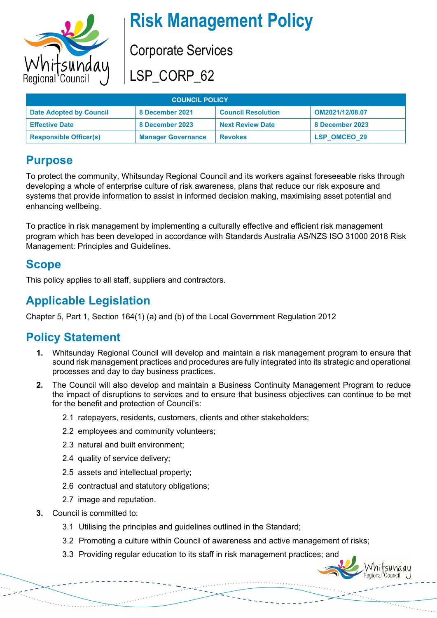

# **Risk Management Policy**

Corporate Services

LSP\_CORP\_62

| <b>COUNCIL POLICY</b>          |                           |                           |                     |
|--------------------------------|---------------------------|---------------------------|---------------------|
| <b>Date Adopted by Council</b> | 8 December 2021           | <b>Council Resolution</b> | OM2021/12/08.07     |
| <b>Effective Date</b>          | 8 December 2023           | <b>Next Review Date</b>   | 8 December 2023     |
| <b>Responsible Officer(s)</b>  | <b>Manager Governance</b> | <b>Revokes</b>            | <b>LSP OMCEO 29</b> |

### **Purpose**

To protect the community, Whitsunday Regional Council and its workers against foreseeable risks through developing a whole of enterprise culture of risk awareness, plans that reduce our risk exposure and systems that provide information to assist in informed decision making, maximising asset potential and enhancing wellbeing.

To practice in risk management by implementing a culturally effective and efficient risk management program which has been developed in accordance with Standards Australia AS/NZS ISO 31000 2018 Risk Management: Principles and Guidelines.

### **Scope**

This policy applies to all staff, suppliers and contractors.

# **Applicable Legislation**

Chapter 5, Part 1, Section 164(1) (a) and (b) of the Local Government Regulation 2012

# **Policy Statement**

- **1.** Whitsunday Regional Council will develop and maintain a risk management program to ensure that sound risk management practices and procedures are fully integrated into its strategic and operational processes and day to day business practices.
- **2.** The Council will also develop and maintain a Business Continuity Management Program to reduce the impact of disruptions to services and to ensure that business objectives can continue to be met for the benefit and protection of Council's:
	- 2.1 ratepayers, residents, customers, clients and other stakeholders;
	- 2.2 employees and community volunteers;
	- 2.3 natural and built environment;
	- 2.4 quality of service delivery;
	- 2.5 assets and intellectual property;
	- 2.6 contractual and statutory obligations;
	- 2.7 image and reputation.
- **3.** Council is committed to:
	- 3.1 Utilising the principles and guidelines outlined in the Standard;
	- 3.2 Promoting a culture within Council of awareness and active management of risks;
	- 3.3 Providing regular education to its staff in risk management practices; and